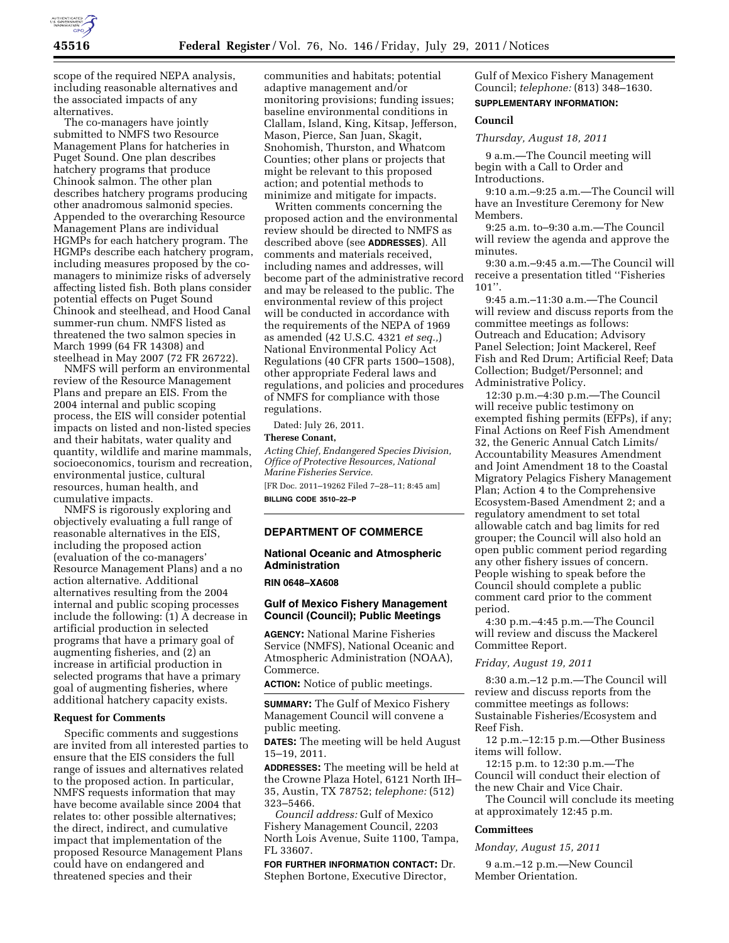

scope of the required NEPA analysis, including reasonable alternatives and the associated impacts of any alternatives.

The co-managers have jointly submitted to NMFS two Resource Management Plans for hatcheries in Puget Sound. One plan describes hatchery programs that produce Chinook salmon. The other plan describes hatchery programs producing other anadromous salmonid species. Appended to the overarching Resource Management Plans are individual HGMPs for each hatchery program. The HGMPs describe each hatchery program, including measures proposed by the comanagers to minimize risks of adversely affecting listed fish. Both plans consider potential effects on Puget Sound Chinook and steelhead, and Hood Canal summer-run chum. NMFS listed as threatened the two salmon species in March 1999 (64 FR 14308) and steelhead in May 2007 (72 FR 26722).

NMFS will perform an environmental review of the Resource Management Plans and prepare an EIS. From the 2004 internal and public scoping process, the EIS will consider potential impacts on listed and non-listed species and their habitats, water quality and quantity, wildlife and marine mammals, socioeconomics, tourism and recreation, environmental justice, cultural resources, human health, and cumulative impacts.

NMFS is rigorously exploring and objectively evaluating a full range of reasonable alternatives in the EIS, including the proposed action (evaluation of the co-managers' Resource Management Plans) and a no action alternative. Additional alternatives resulting from the 2004 internal and public scoping processes include the following:  $(1)$   $\overline{A}$  decrease in artificial production in selected programs that have a primary goal of augmenting fisheries, and (2) an increase in artificial production in selected programs that have a primary goal of augmenting fisheries, where additional hatchery capacity exists.

# **Request for Comments**

Specific comments and suggestions are invited from all interested parties to ensure that the EIS considers the full range of issues and alternatives related to the proposed action. In particular, NMFS requests information that may have become available since 2004 that relates to: other possible alternatives; the direct, indirect, and cumulative impact that implementation of the proposed Resource Management Plans could have on endangered and threatened species and their

communities and habitats; potential adaptive management and/or monitoring provisions; funding issues; baseline environmental conditions in Clallam, Island, King, Kitsap, Jefferson, Mason, Pierce, San Juan, Skagit, Snohomish, Thurston, and Whatcom Counties; other plans or projects that might be relevant to this proposed action; and potential methods to minimize and mitigate for impacts.

Written comments concerning the proposed action and the environmental review should be directed to NMFS as described above (see **ADDRESSES**). All comments and materials received, including names and addresses, will become part of the administrative record and may be released to the public. The environmental review of this project will be conducted in accordance with the requirements of the NEPA of 1969 as amended (42 U.S.C. 4321 *et seq.,*) National Environmental Policy Act Regulations (40 CFR parts 1500–1508), other appropriate Federal laws and regulations, and policies and procedures of NMFS for compliance with those regulations.

Dated: July 26, 2011.

## **Therese Conant,**

*Acting Chief, Endangered Species Division, Office of Protective Resources, National Marine Fisheries Service.*  [FR Doc. 2011–19262 Filed 7–28–11; 8:45 am]

**BILLING CODE 3510–22–P** 

# **DEPARTMENT OF COMMERCE**

# **National Oceanic and Atmospheric Administration**

### **RIN 0648–XA608**

# **Gulf of Mexico Fishery Management Council (Council); Public Meetings**

**AGENCY:** National Marine Fisheries Service (NMFS), National Oceanic and Atmospheric Administration (NOAA), Commerce.

**ACTION:** Notice of public meetings.

**SUMMARY:** The Gulf of Mexico Fishery Management Council will convene a public meeting.

**DATES:** The meeting will be held August 15–19, 2011.

**ADDRESSES:** The meeting will be held at the Crowne Plaza Hotel, 6121 North IH– 35, Austin, TX 78752; *telephone:* (512) 323–5466.

*Council address:* Gulf of Mexico Fishery Management Council, 2203 North Lois Avenue, Suite 1100, Tampa, FL 33607.

**FOR FURTHER INFORMATION CONTACT:** Dr. Stephen Bortone, Executive Director,

Gulf of Mexico Fishery Management Council; *telephone:* (813) 348–1630. **SUPPLEMENTARY INFORMATION:** 

#### **Council**

*Thursday, August 18, 2011* 

9 a.m.—The Council meeting will begin with a Call to Order and Introductions.

9:10 a.m.–9:25 a.m.—The Council will have an Investiture Ceremony for New Members.

9:25 a.m. to–9:30 a.m.—The Council will review the agenda and approve the minutes.

9:30 a.m.–9:45 a.m.—The Council will receive a presentation titled ''Fisheries 101''.

9:45 a.m.–11:30 a.m.—The Council will review and discuss reports from the committee meetings as follows: Outreach and Education; Advisory Panel Selection; Joint Mackerel, Reef Fish and Red Drum; Artificial Reef; Data Collection; Budget/Personnel; and Administrative Policy.

12:30 p.m.–4:30 p.m.—The Council will receive public testimony on exempted fishing permits (EFPs), if any; Final Actions on Reef Fish Amendment 32, the Generic Annual Catch Limits/ Accountability Measures Amendment and Joint Amendment 18 to the Coastal Migratory Pelagics Fishery Management Plan; Action 4 to the Comprehensive Ecosystem-Based Amendment 2; and a regulatory amendment to set total allowable catch and bag limits for red grouper; the Council will also hold an open public comment period regarding any other fishery issues of concern. People wishing to speak before the Council should complete a public comment card prior to the comment period.

4:30 p.m.–4:45 p.m.—The Council will review and discuss the Mackerel Committee Report.

#### *Friday, August 19, 2011*

8:30 a.m.–12 p.m.—The Council will review and discuss reports from the committee meetings as follows: Sustainable Fisheries/Ecosystem and Reef Fish.

12 p.m.–12:15 p.m.—Other Business items will follow.

12:15 p.m. to 12:30 p.m.—The Council will conduct their election of the new Chair and Vice Chair.

The Council will conclude its meeting at approximately 12:45 p.m.

### **Committees**

#### *Monday, August 15, 2011*

9 a.m.–12 p.m.—New Council Member Orientation.